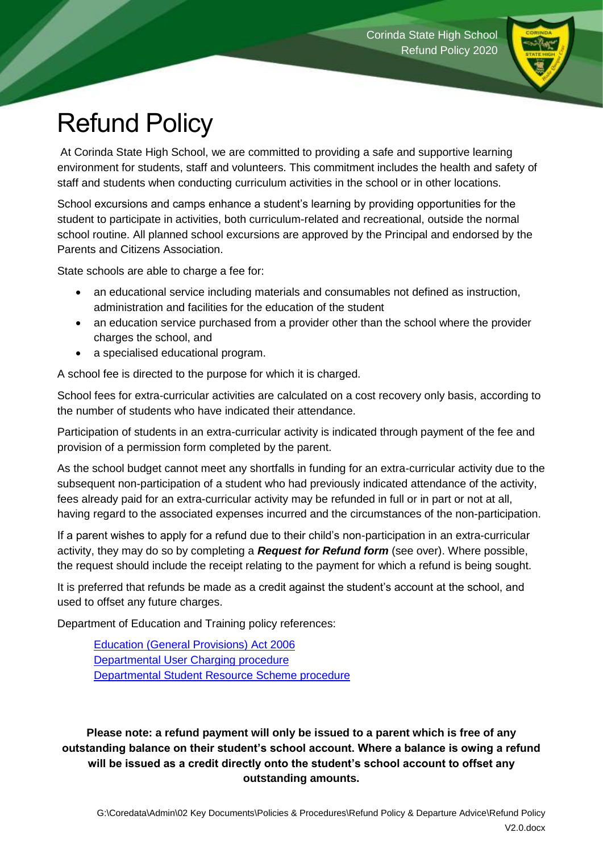

## Refund Policy

At Corinda State High School, we are committed to providing a safe and supportive learning environment for students, staff and volunteers. This commitment includes the health and safety of staff and students when conducting curriculum activities in the school or in other locations.

School excursions and camps enhance a student's learning by providing opportunities for the student to participate in activities, both curriculum-related and recreational, outside the normal school routine. All planned school excursions are approved by the Principal and endorsed by the Parents and Citizens Association.

State schools are able to charge a fee for:

- an educational service including materials and consumables not defined as instruction, administration and facilities for the education of the student
- an education service purchased from a provider other than the school where the provider charges the school, and
- a specialised educational program.

A school fee is directed to the purpose for which it is charged.

School fees for extra-curricular activities are calculated on a cost recovery only basis, according to the number of students who have indicated their attendance.

Participation of students in an extra-curricular activity is indicated through payment of the fee and provision of a permission form completed by the parent.

As the school budget cannot meet any shortfalls in funding for an extra-curricular activity due to the subsequent non-participation of a student who had previously indicated attendance of the activity, fees already paid for an extra-curricular activity may be refunded in full or in part or not at all, having regard to the associated expenses incurred and the circumstances of the non-participation.

If a parent wishes to apply for a refund due to their child's non-participation in an extra-curricular activity, they may do so by completing a *Request for Refund form* (see over). Where possible, the request should include the receipt relating to the payment for which a refund is being sought.

It is preferred that refunds be made as a credit against the student's account at the school, and used to offset any future charges.

Department of Education and Training policy references:

[Education \(General Provisions\) Act 2006](https://www.google.com.au/url?sa=t&rct=j&q=&esrc=s&source=web&cd=4&cad=rja&uact=8&ved=0ahUKEwj62p2cnuzWAhWBfbwKHYuFB0YQFgg0MAM&url=https%3A%2F%2Fwww.legislation.qld.gov.au%2Fview%2Fpdf%2Finforce%2F2010-04-01%2Fact-2006-039&usg=AOvVaw12uGHLyfYcLoj7BCSdUqf-) [Departmental User Charging procedure](http://ppr.det.qld.gov.au/corp/finance/services/Pages/State-Education-Fees.aspx) [Departmental Student Resource Scheme procedure](http://ppr.det.qld.gov.au/corp/finance/services/Pages/Student-Resource-Scheme.aspx)

**Please note: a refund payment will only be issued to a parent which is free of any outstanding balance on their student's school account. Where a balance is owing a refund will be issued as a credit directly onto the student's school account to offset any outstanding amounts.**